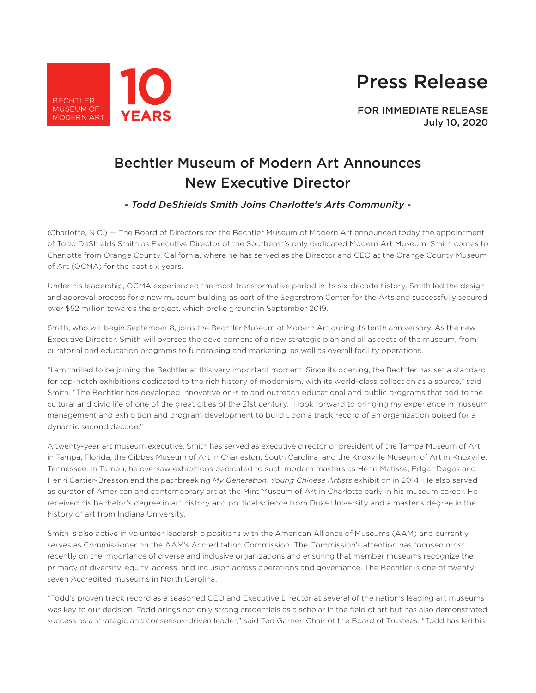# Press Release



FOR IMMEDIATE RELEASE July 10, 2020

## Bechtler Museum of Modern Art Announces New Executive Director

### - *Todd DeShields Smith Joins Charlotte's Arts Community* -

(Charlotte, N.C.) — The Board of Directors for the Bechtler Museum of Modern Art announced today the appointment of Todd DeShields Smith as Executive Director of the Southeast's only dedicated Modern Art Museum. Smith comes to Charlotte from Orange County, California, where he has served as the Director and CEO at the Orange County Museum of Art (OCMA) for the past six years.

Under his leadership, OCMA experienced the most transformative period in its six-decade history. Smith led the design and approval process for a new museum building as part of the Segerstrom Center for the Arts and successfully secured over \$52 million towards the project, which broke ground in September 2019.

Smith, who will begin September 8, joins the Bechtler Museum of Modern Art during its tenth anniversary. As the new Executive Director, Smith will oversee the development of a new strategic plan and all aspects of the museum, from curatorial and education programs to fundraising and marketing, as well as overall facility operations.

"I am thrilled to be joining the Bechtler at this very important moment. Since its opening, the Bechtler has set a standard for top-notch exhibitions dedicated to the rich history of modernism, with its world-class collection as a source," said Smith. "The Bechtler has developed innovative on-site and outreach educational and public programs that add to the cultural and civic life of one of the great cities of the 21st century. I look forward to bringing my experience in museum management and exhibition and program development to build upon a track record of an organization poised for a dynamic second decade."

A twenty-year art museum executive, Smith has served as executive director or president of the Tampa Museum of Art in Tampa, Florida, the Gibbes Museum of Art in Charleston, South Carolina, and the Knoxville Museum of Art in Knoxville, Tennessee. In Tampa, he oversaw exhibitions dedicated to such modern masters as Henri Matisse, Edgar Degas and Henri Cartier-Bresson and the pathbreaking *My Generation: Young Chinese Artists* exhibition in 2014. He also served as curator of American and contemporary art at the Mint Museum of Art in Charlotte early in his museum career. He received his bachelor's degree in art history and political science from Duke University and a master's degree in the history of art from Indiana University.

Smith is also active in volunteer leadership positions with the American Alliance of Museums (AAM) and currently serves as Commissioner on the AAM's Accreditation Commission. The Commission's attention has focused most recently on the importance of diverse and inclusive organizations and ensuring that member museums recognize the primacy of diversity, equity, access, and inclusion across operations and governance. The Bechtler is one of twentyseven Accredited museums in North Carolina.

"Todd's proven track record as a seasoned CEO and Executive Director at several of the nation's leading art museums was key to our decision. Todd brings not only strong credentials as a scholar in the field of art but has also demonstrated success as a strategic and consensus-driven leader," said Ted Garner, Chair of the Board of Trustees. "Todd has led his